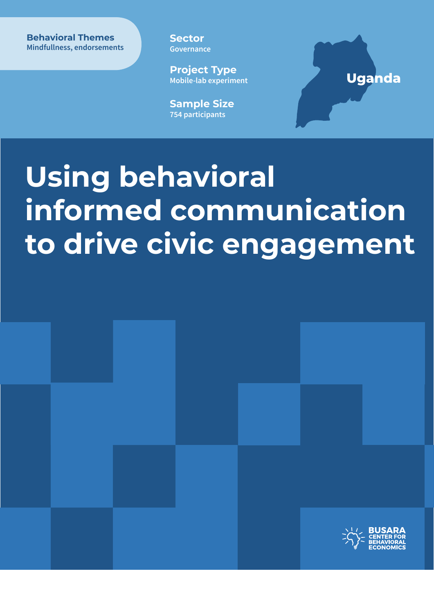**Behavioral Themes Behavioral Themes Mindfullness, endorsements** 

**Sector Governance**

**Project Type Mobile-lab experiment**

**Sample Size 754 participants**

### **Uganda**

# **Using behavioral informed communication to drive civic engagement**

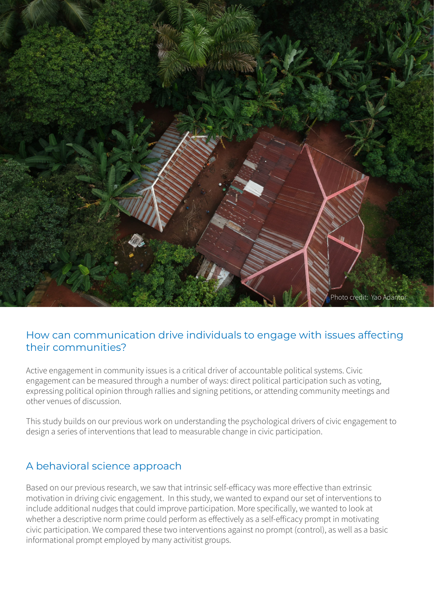

#### How can communication drive individuals to engage with issues affecting their communities?

Active engagement in community issues is a critical driver of accountable political systems. Civic engagement can be measured through a number of ways: direct political participation such as voting, expressing political opinion through rallies and signing petitions, or attending community meetings and other venues of discussion.

This study builds on our previous work on understanding the psychological drivers of civic engagement to design a series of interventions that lead to measurable change in civic participation.

#### A behavioral science approach

Based on our previous research, we saw that intrinsic self-efficacy was more effective than extrinsic motivation in driving civic engagement. In this study, we wanted to expand our set of interventions to include additional nudges that could improve participation. More specifically, we wanted to look at whether a descriptive norm prime could perform as effectively as a self-efficacy prompt in motivating civic participation. We compared these two interventions against no prompt (control), as well as a basic informational prompt employed by many activitist groups.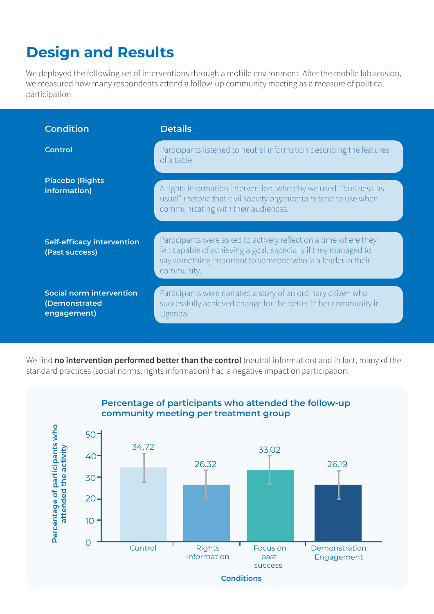## **Design and Results**

We deployed the following set of interventions through a mobile environment. After the mobile lab session, we measured how many respondents attend a follow-up community meeting as a measure of political participation.

| <b>Condition</b>                                         | <b>Details</b>                                                                                                                                                                                                   |
|----------------------------------------------------------|------------------------------------------------------------------------------------------------------------------------------------------------------------------------------------------------------------------|
| <b>Control</b>                                           | Participants listened to neutral information describing the features<br>of a table.                                                                                                                              |
| <b>Placebo (Rights</b><br>information)                   | A rights information intervention, whereby we used "business-as-<br>usual" rhetoric that civil society organizations tend to use when<br>communicating with their audiences.                                     |
| <b>Self-efficacy intervention</b><br>(Past success)      | Participants were asked to actively reflect on a time where they<br>felt capable of achieving a goal, especially if they managed to<br>say something important to someone who is a leader in their<br>community. |
| Social norm intervention<br>(Demonstrated<br>engagement) | Participants were narrated a story of an ordinary citizen who<br>successfully achieved change for the better in her community in<br>Uganda.                                                                      |

We find **no intervention performed better than the control** (neutral information) and in fact, many of the standard practices (social norms, rights information) had a negative impact on participation.